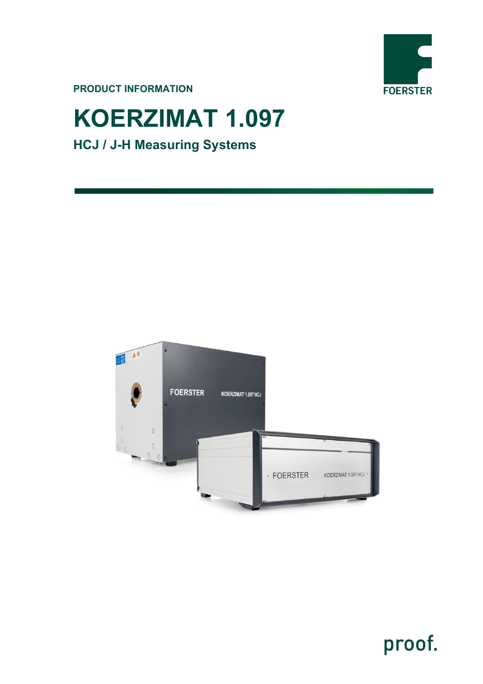

**PRODUCT INFORMATION**

# **KOERZIMAT 1.097 HCJ / J-H Measuring Systems**



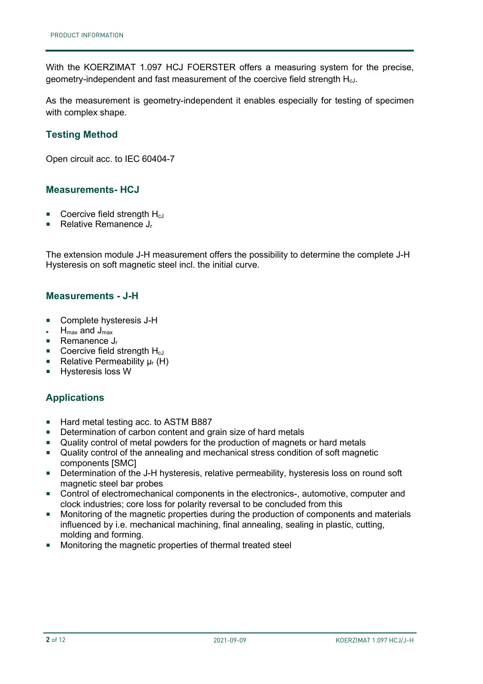With the KOERZIMAT 1.097 HCJ FOERSTER offers a measuring system for the precise, geometry-independent and fast measurement of the coercive field strength HcJ.

As the measurement is geometry-independent it enables especially for testing of specimen with complex shape.

## **Testing Method**

Open circuit acc. to IEC 60404-7

#### **Measurements- HCJ**

- **Coercive field strength H<sub>cJ</sub>**
- Relative Remanence  $J_r$

The extension module J-H measurement offers the possibility to determine the complete J-H Hysteresis on soft magnetic steel incl. the initial curve.

#### **Measurements - J-H**

- Complete hysteresis J-H
- $H_{\text{max}}$  and  $J_{\text{max}}$
- Remanence  $J_r$
- $\blacksquare$  Coercive field strength  $H_{cJ}$
- Relative Permeability  $\mu_r$  (H)
- **Hysteresis loss W**

### **Applications**

- Hard metal testing acc. to ASTM B887
- **Determination of carbon content and grain size of hard metals**
- Quality control of metal powders for the production of magnets or hard metals
- Quality control of the annealing and mechanical stress condition of soft magnetic components [SMC]
- Determination of the J-H hysteresis, relative permeability, hysteresis loss on round soft magnetic steel bar probes
- Control of electromechanical components in the electronics-, automotive, computer and clock industries; core loss for polarity reversal to be concluded from this
- **Monitoring of the magnetic properties during the production of components and materials** influenced by i.e. mechanical machining, final annealing, sealing in plastic, cutting, molding and forming.
- Monitoring the magnetic properties of thermal treated steel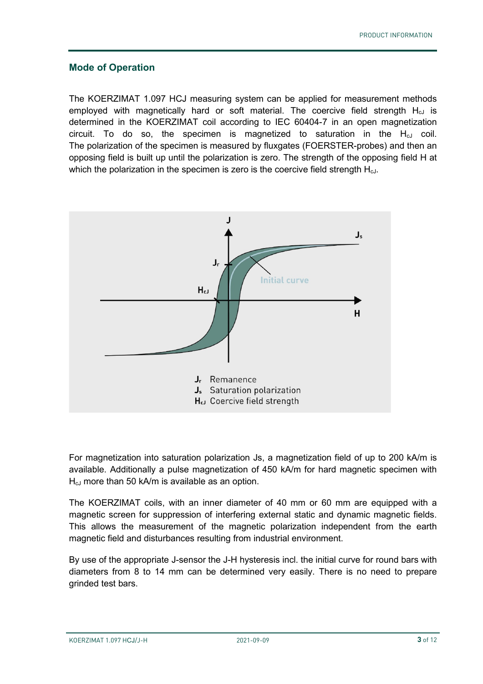#### **Mode of Operation**

The KOERZIMAT 1.097 HCJ measuring system can be applied for measurement methods employed with magnetically hard or soft material. The coercive field strength  $H_{cJ}$  is determined in the KOERZIMAT coil according to IEC 60404-7 in an open magnetization circuit. To do so, the specimen is magnetized to saturation in the  $H_{cJ}$  coil. The polarization of the specimen is measured by fluxgates (FOERSTER-probes) and then an opposing field is built up until the polarization is zero. The strength of the opposing field H at which the polarization in the specimen is zero is the coercive field strength  $H_{cJ}$ .



For magnetization into saturation polarization Js, a magnetization field of up to 200 kA/m is available. Additionally a pulse magnetization of 450 kA/m for hard magnetic specimen with  $H<sub>cl</sub>$  more than 50 kA/m is available as an option.

The KOERZIMAT coils, with an inner diameter of 40 mm or 60 mm are equipped with a magnetic screen for suppression of interfering external static and dynamic magnetic fields. This allows the measurement of the magnetic polarization independent from the earth magnetic field and disturbances resulting from industrial environment.

By use of the appropriate J-sensor the J-H hysteresis incl. the initial curve for round bars with diameters from 8 to 14 mm can be determined very easily. There is no need to prepare grinded test bars.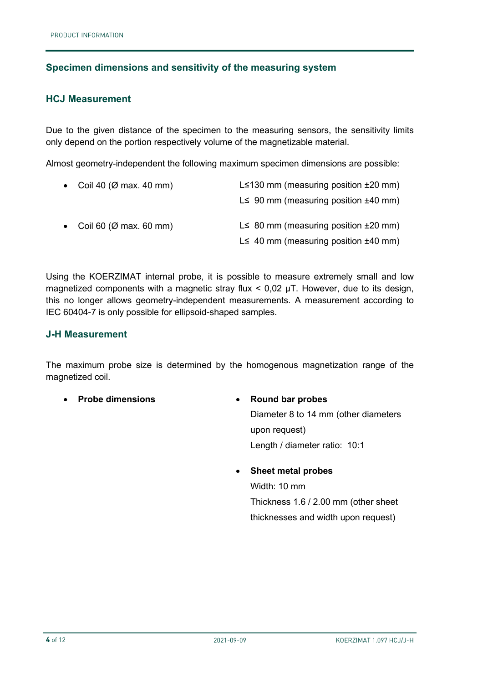## **Specimen dimensions and sensitivity of the measuring system**

#### **HCJ Measurement**

Due to the given distance of the specimen to the measuring sensors, the sensitivity limits only depend on the portion respectively volume of the magnetizable material.

Almost geometry-independent the following maximum specimen dimensions are possible:

| • Coil 40 ( $\varnothing$ max. 40 mm) | L $\leq$ 130 mm (measuring position $\pm$ 20 mm) |  |
|---------------------------------------|--------------------------------------------------|--|
|                                       | L $\leq$ 90 mm (measuring position $\pm$ 40 mm)  |  |
| • Coil 60 ( $\varnothing$ max. 60 mm) | L $\leq$ 80 mm (measuring position $\pm$ 20 mm)  |  |
|                                       | L $\leq$ 40 mm (measuring position $\pm$ 40 mm)  |  |

Using the KOERZIMAT internal probe, it is possible to measure extremely small and low magnetized components with a magnetic stray flux  $<$  0,02  $\mu$ T. However, due to its design, this no longer allows geometry-independent measurements. A measurement according to IEC 60404-7 is only possible for ellipsoid-shaped samples.

### **J-H Measurement**

The maximum probe size is determined by the homogenous magnetization range of the magnetized coil.

• **Probe dimensions** • **Round bar probes**

Diameter 8 to 14 mm (other diameters upon request) Length / diameter ratio: 10:1

#### • **Sheet metal probes**

Width: 10 mm Thickness 1.6 / 2.00 mm (other sheet thicknesses and width upon request)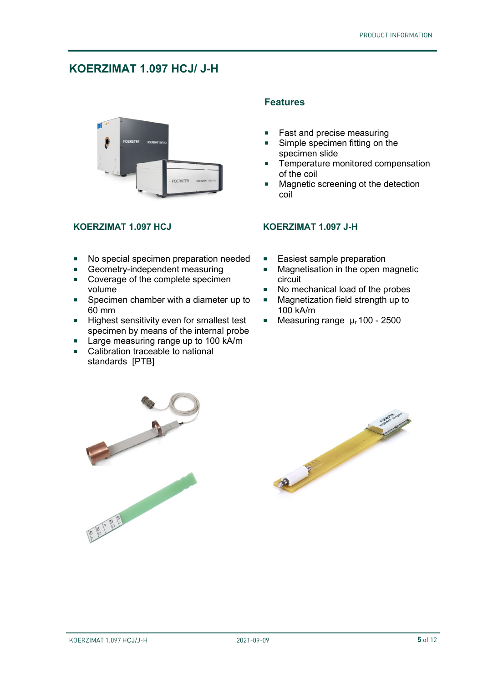## **KOERZIMAT 1.097 HCJ/ J-H**



### **KOERZIMAT 1.097 HCJ KOERZIMAT 1.097 J-H**

- No special specimen preparation needed
- Geometry-independent measuring<br>Coverage of the complete specime
- Coverage of the complete specimen volume
- **Specimen chamber with a diameter up to** 60 mm
- Highest sensitivity even for smallest test specimen by means of the internal probe
- Large measuring range up to 100 kA/m<br>■ Calibration traceable to national
- Calibration traceable to national standards [PTB]

## **Features**

- **Fast and precise measuring**
- Simple specimen fitting on the specimen slide
- **Temperature monitored compensation** of the coil
- **Magnetic screening ot the detection** coil

- **Easiest sample preparation**
- Magnetisation in the open magnetic circuit
- No mechanical load of the probes
- Magnetization field strength up to 100 kA/m
- Measuring range  $\mu$  100 2500



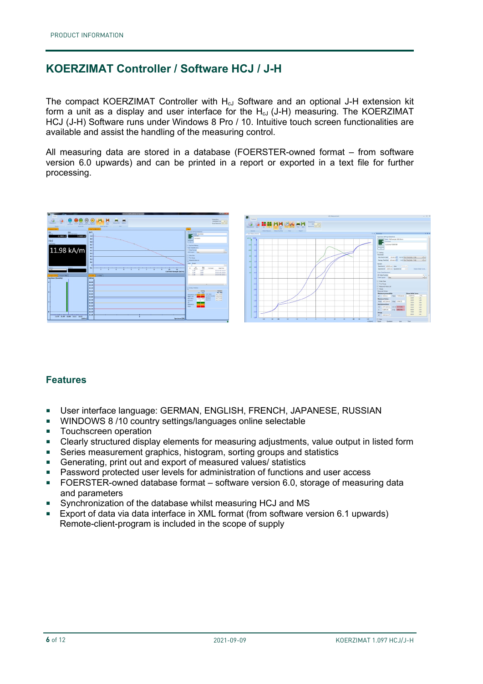## **KOERZIMAT Controller / Software HCJ / J-H**

The compact KOERZIMAT Controller with  $H_{cJ}$  Software and an optional J-H extension kit form a unit as a display and user interface for the  $H<sub>cl</sub>$  (J-H) measuring. The KOERZIMAT HCJ (J-H) Software runs under Windows 8 Pro / 10. Intuitive touch screen functionalities are available and assist the handling of the measuring control.

All measuring data are stored in a database (FOERSTER-owned format – from software version 6.0 upwards) and can be printed in a report or exported in a text file for further processing.



### **Features**

- User interface language: GERMAN, ENGLISH, FRENCH, JAPANESE, RUSSIAN
- **WINDOWS 8 /10 country settings/languages online selectable**
- **Touchscreen operation**
- Clearly structured display elements for measuring adjustments, value output in listed form
- Series measurement graphics, histogram, sorting groups and statistics
- Generating, print out and export of measured values/ statistics
- Password protected user levels for administration of functions and user access
- FOERSTER-owned database format software version 6.0, storage of measuring data and parameters
- Synchronization of the database whilst measuring HCJ and MS
- Export of data via data interface in XML format (from software version 6.1 upwards) Remote-client-program is included in the scope of supply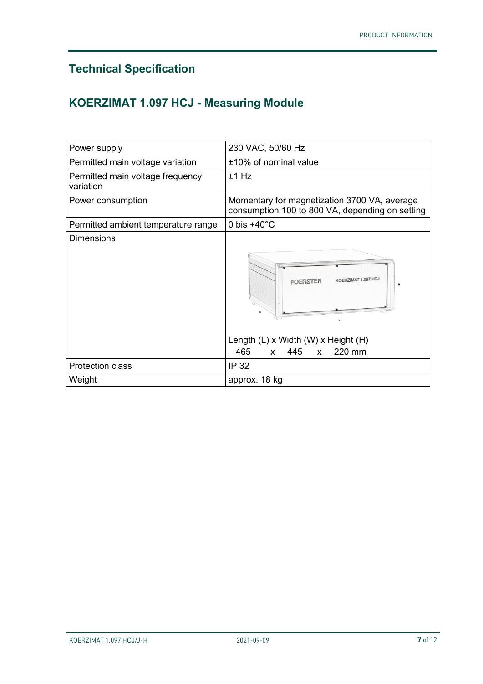## **Technical Specification**

## **KOERZIMAT 1.097 HCJ - Measuring Module**

|                                               | 230 VAC, 50/60 Hz                                                                                                                               |
|-----------------------------------------------|-------------------------------------------------------------------------------------------------------------------------------------------------|
| Power supply                                  |                                                                                                                                                 |
| Permitted main voltage variation              | ±10% of nominal value                                                                                                                           |
| Permitted main voltage frequency<br>variation | $±1$ Hz                                                                                                                                         |
| Power consumption                             | Momentary for magnetization 3700 VA, average<br>consumption 100 to 800 VA, depending on setting                                                 |
| Permitted ambient temperature range           | 0 bis $+40^{\circ}$ C                                                                                                                           |
| <b>Dimensions</b>                             | (OERZIMAT 1.097 HCJ<br>FOERSTEI<br>н<br>L.<br>Length $(L)$ x Width $(W)$ x Height $(H)$<br>220 mm<br>465<br>445<br>$\mathsf{X}$<br>$\mathsf{x}$ |
| <b>Protection class</b>                       | IP 32                                                                                                                                           |
| Weight                                        | approx. 18 kg                                                                                                                                   |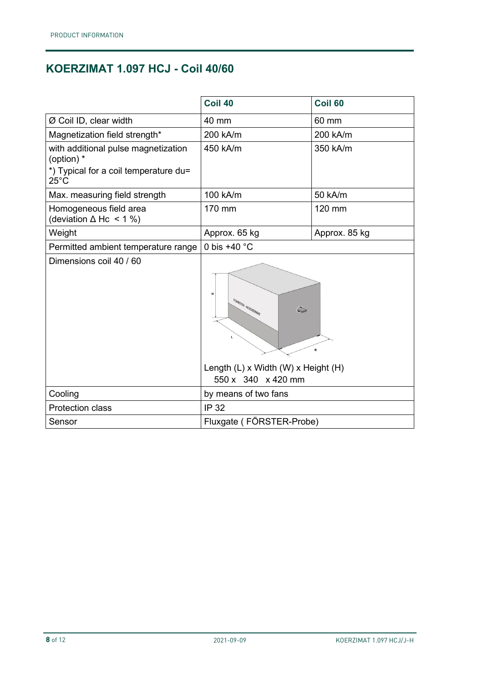## **KOERZIMAT 1.097 HCJ - Coil 40/60**

|                                                         | Coil 40                                                                                                     | <b>Coil 60</b> |
|---------------------------------------------------------|-------------------------------------------------------------------------------------------------------------|----------------|
| Ø Coil ID, clear width                                  | 40 mm                                                                                                       | 60 mm          |
| Magnetization field strength*                           | 200 kA/m                                                                                                    | 200 kA/m       |
| with additional pulse magnetization<br>(option) *       | 450 kA/m                                                                                                    | 350 kA/m       |
| *) Typical for a coil temperature du=<br>$25^{\circ}$ C |                                                                                                             |                |
| Max. measuring field strength                           | 100 kA/m                                                                                                    | 50 kA/m        |
| Homogeneous field area<br>(deviation $\Delta$ Hc < 1 %) | 170 mm                                                                                                      | 120 mm         |
| Weight                                                  | Approx. 65 kg                                                                                               | Approx. 85 kg  |
| Permitted ambient temperature range                     | 0 bis +40 $^{\circ}$ C                                                                                      |                |
| Dimensions coil 40 / 60                                 | н<br>FOERSTER - KOERZIMAT<br>$\mathbb{C}$<br>в<br>Length (L) x Width (W) x Height (H)<br>550 x 340 x 420 mm |                |
| Cooling                                                 | by means of two fans                                                                                        |                |
| <b>Protection class</b>                                 | <b>IP 32</b>                                                                                                |                |
| Sensor                                                  | Fluxgate (FÖRSTER-Probe)                                                                                    |                |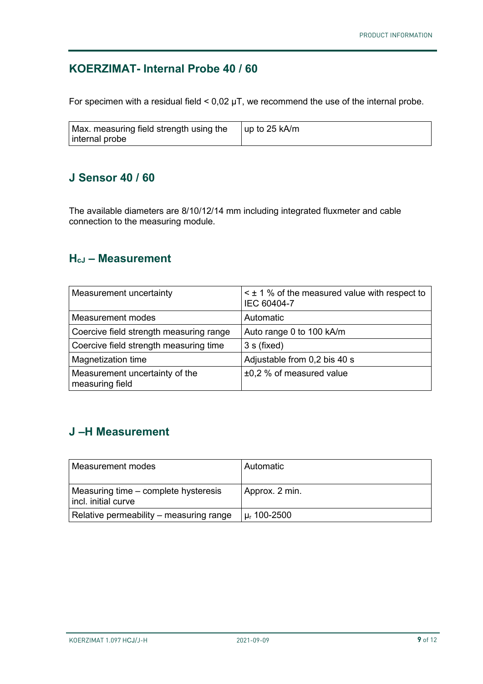## **KOERZIMAT- Internal Probe 40 / 60**

For specimen with a residual field  $<$  0,02  $\mu$ T, we recommend the use of the internal probe.

| Max. measuring field strength using the<br>internal probe | l up to 25 kA/m |
|-----------------------------------------------------------|-----------------|
|                                                           |                 |

## **J Sensor 40 / 60**

The available diameters are 8/10/12/14 mm including integrated fluxmeter and cable connection to the measuring module.

## **HcJ – Measurement**

| Measurement uncertainty                           | $\leq$ ± 1 % of the measured value with respect to<br>IEC 60404-7 |
|---------------------------------------------------|-------------------------------------------------------------------|
| <b>Measurement modes</b>                          | Automatic                                                         |
| Coercive field strength measuring range           | Auto range 0 to 100 kA/m                                          |
| Coercive field strength measuring time            | 3 s (fixed)                                                       |
| Magnetization time                                | Adjustable from 0,2 bis 40 s                                      |
| Measurement uncertainty of the<br>measuring field | $\pm 0.2$ % of measured value                                     |

## **J –H Measurement**

| Measurement modes                                           | l Automatic                 |
|-------------------------------------------------------------|-----------------------------|
| Measuring time – complete hysteresis<br>incl. initial curve | Approx. 2 min.              |
| Relative permeability – measuring range                     | $\mu$ <sub>r</sub> 100-2500 |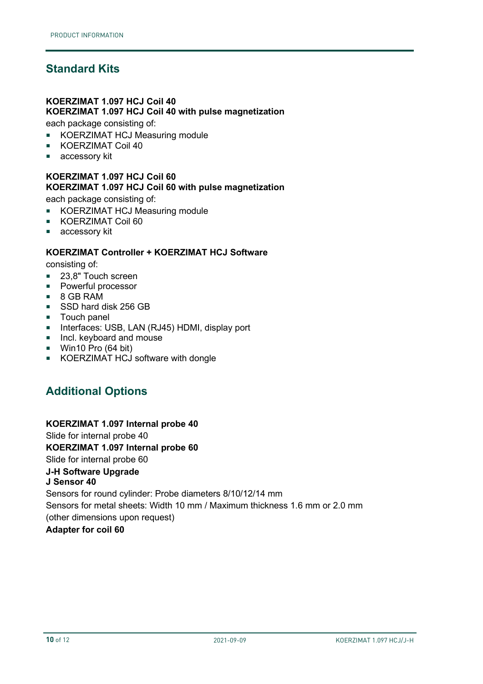## **Standard Kits**

## **KOERZIMAT 1.097 HCJ Coil 40**

#### **KOERZIMAT 1.097 HCJ Coil 40 with pulse magnetization**

each package consisting of:

- KOERZIMAT HCJ Measuring module
- **KOERZIMAT Coil 40**
- accessory kit

#### **KOERZIMAT 1.097 HCJ Coil 60 KOERZIMAT 1.097 HCJ Coil 60 with pulse magnetization**

each package consisting of:

- **KOERZIMAT HCJ Measuring module**
- **KOERZIMAT Coil 60**
- accessory kit

#### **KOERZIMAT Controller + KOERZIMAT HCJ Software**

consisting of:

- 23,8" Touch screen
- **Powerful processor**
- 8 GB RAM
- SSD hard disk 256 GB
- **Touch panel**
- **Interfaces: USB, LAN (RJ45) HDMI, display port**
- **Incl. keyboard and mouse**
- Win10 Pro (64 bit)
- **KOERZIMAT HCJ software with dongle**

## **Additional Options**

#### **KOERZIMAT 1.097 Internal probe 40**

Slide for internal probe 40 **KOERZIMAT 1.097 Internal probe 60**

Slide for internal probe 60 **J-H Software Upgrade**

## **J Sensor 40**

Sensors for round cylinder: Probe diameters 8/10/12/14 mm Sensors for metal sheets: Width 10 mm / Maximum thickness 1.6 mm or 2.0 mm (other dimensions upon request) **Adapter for coil 60**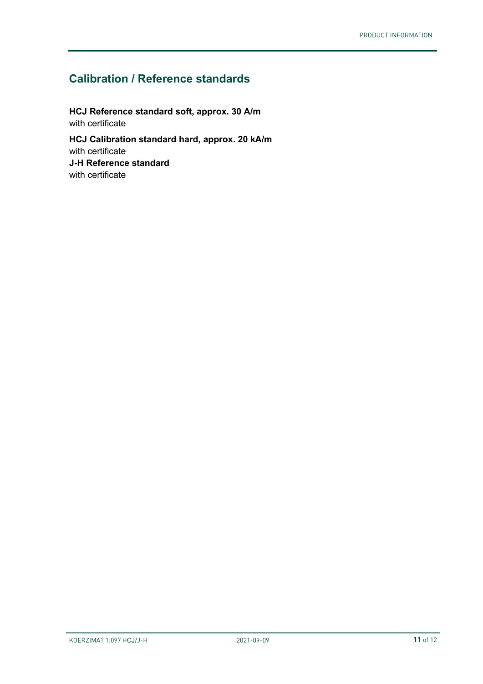## **Calibration / Reference standards**

**HCJ Reference standard soft, approx. 30 A/m**  with certificate **HCJ Calibration standard hard, approx. 20 kA/m** with certificate **J-H Reference standard** with certificate